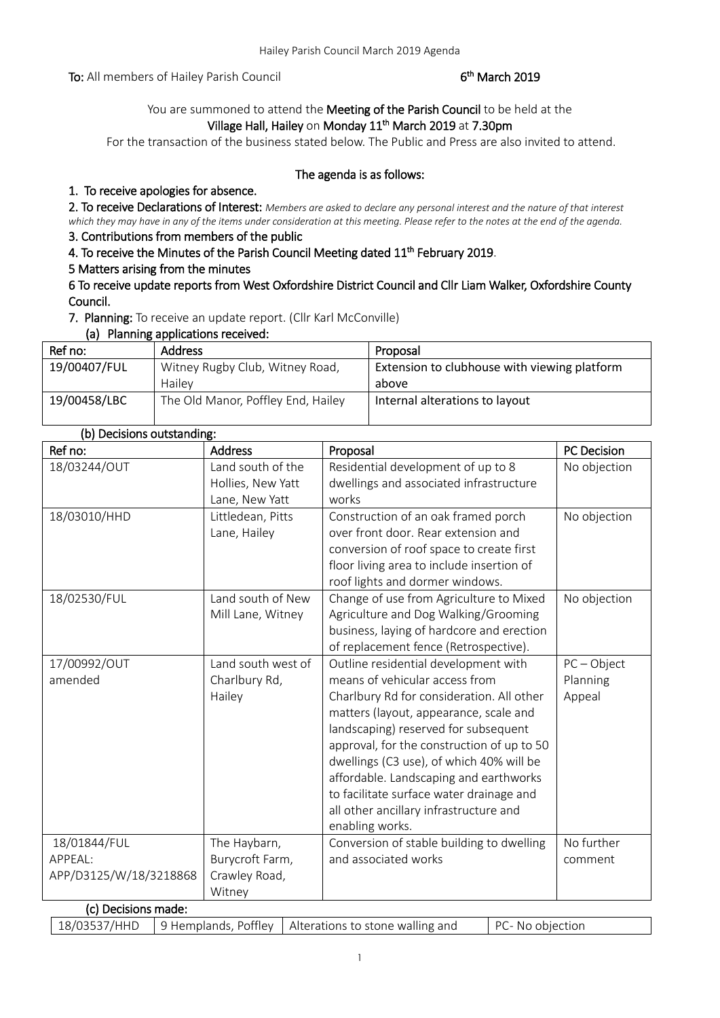To: All members of Hailey Parish Council

# <sup>th</sup> March 2019

# You are summoned to attend the Meeting of the Parish Council to be held at the Village Hall, Hailey on Monday 11<sup>th</sup> March 2019 at 7.30pm

For the transaction of the business stated below. The Public and Press are also invited to attend.

# The agenda is as follows:

# 1. To receive apologies for absence.

2. To receive Declarations of Interest: *Members are asked to declare any personal interest and the nature of that interest which they may have in any of the items under consideration at this meeting. Please refer to the notes at the end of the agenda.*

# 3. Contributions from members of the public

4. To receive the Minutes of the Parish Council Meeting dated 11<sup>th</sup> February 2019.

#### 5 Matters arising from the minutes

6 To receive update reports from West Oxfordshire District Council and Cllr Liam Walker, Oxfordshire County Council.

7. Planning: To receive an update report. (Cllr Karl McConville)

(a) Planning applications received:

| Ref no:      | <b>Address</b>                     | Proposal                                     |
|--------------|------------------------------------|----------------------------------------------|
| 19/00407/FUL | Witney Rugby Club, Witney Road,    | Extension to clubhouse with viewing platform |
|              | Hailev                             | above                                        |
| 19/00458/LBC | The Old Manor, Poffley End, Hailey | Internal alterations to layout               |

## (b) Decisions outstanding:

| Ref no:                | <b>Address</b>     | Proposal                                   | PC Decision   |
|------------------------|--------------------|--------------------------------------------|---------------|
| 18/03244/OUT           | Land south of the  | Residential development of up to 8         | No objection  |
|                        | Hollies, New Yatt  | dwellings and associated infrastructure    |               |
|                        | Lane, New Yatt     | works                                      |               |
| 18/03010/HHD           | Littledean, Pitts  | Construction of an oak framed porch        | No objection  |
|                        | Lane, Hailey       | over front door. Rear extension and        |               |
|                        |                    | conversion of roof space to create first   |               |
|                        |                    | floor living area to include insertion of  |               |
|                        |                    | roof lights and dormer windows.            |               |
| 18/02530/FUL           | Land south of New  | Change of use from Agriculture to Mixed    | No objection  |
|                        | Mill Lane, Witney  | Agriculture and Dog Walking/Grooming       |               |
|                        |                    | business, laying of hardcore and erection  |               |
|                        |                    | of replacement fence (Retrospective).      |               |
| 17/00992/OUT           | Land south west of | Outline residential development with       | $PC - Object$ |
| amended                | Charlbury Rd,      | means of vehicular access from             | Planning      |
|                        | Hailey             | Charlbury Rd for consideration. All other  | Appeal        |
|                        |                    | matters (layout, appearance, scale and     |               |
|                        |                    | landscaping) reserved for subsequent       |               |
|                        |                    | approval, for the construction of up to 50 |               |
|                        |                    | dwellings (C3 use), of which 40% will be   |               |
|                        |                    | affordable. Landscaping and earthworks     |               |
|                        |                    | to facilitate surface water drainage and   |               |
|                        |                    | all other ancillary infrastructure and     |               |
|                        |                    | enabling works.                            |               |
| 18/01844/FUL           | The Haybarn,       | Conversion of stable building to dwelling  | No further    |
| APPEAL:                | Burycroft Farm,    | and associated works                       | comment       |
| APP/D3125/W/18/3218868 | Crawley Road,      |                                            |               |
|                        | Witney             |                                            |               |
| (c) Decisions made:    |                    |                                            |               |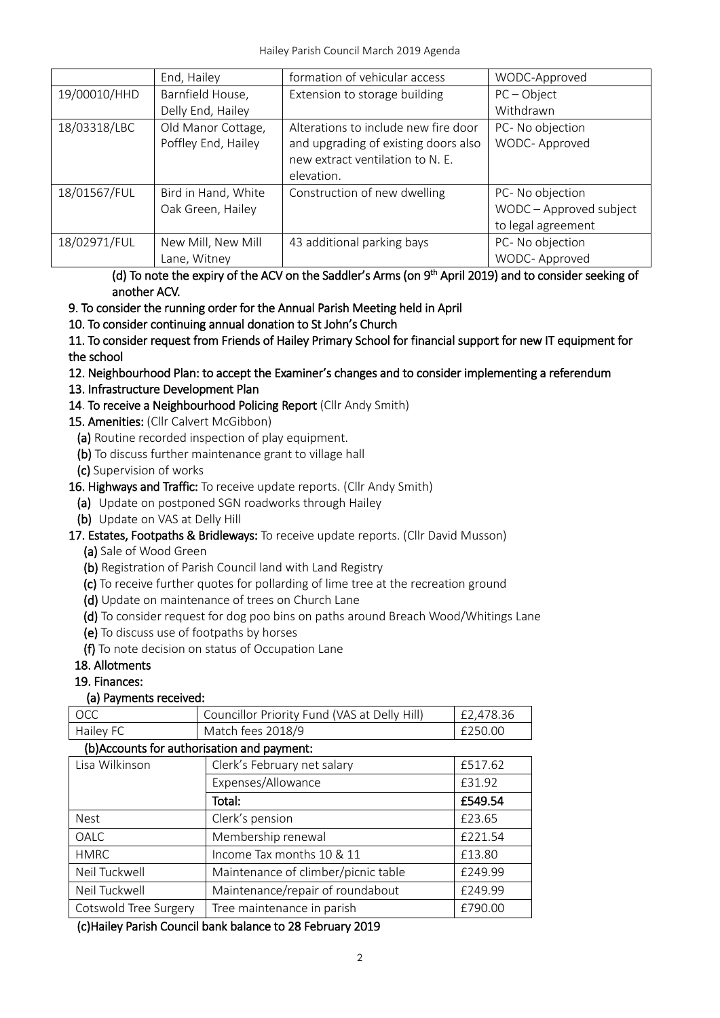|              | End, Hailey                               | formation of vehicular access                                                                                                  | WODC-Approved                                                     |
|--------------|-------------------------------------------|--------------------------------------------------------------------------------------------------------------------------------|-------------------------------------------------------------------|
| 19/00010/HHD | Barnfield House,                          | Extension to storage building                                                                                                  | $PC - Object$                                                     |
|              | Delly End, Hailey                         |                                                                                                                                | Withdrawn                                                         |
| 18/03318/LBC | Old Manor Cottage,<br>Poffley End, Hailey | Alterations to include new fire door<br>and upgrading of existing doors also<br>new extract ventilation to N. E.<br>elevation. | PC- No objection<br>WODC- Approved                                |
| 18/01567/FUL | Bird in Hand, White<br>Oak Green, Hailey  | Construction of new dwelling                                                                                                   | PC- No objection<br>WODC - Approved subject<br>to legal agreement |
| 18/02971/FUL | New Mill, New Mill<br>Lane, Witney        | 43 additional parking bays                                                                                                     | PC- No objection<br>WODC-Approved                                 |

(d) To note the expiry of the ACV on the Saddler's Arms (on 9<sup>th</sup> April 2019) and to consider seeking of another ACV.

# 9. To consider the running order for the Annual Parish Meeting held in April

10. To consider continuing annual donation to St John's Church

11. To consider request from Friends of Hailey Primary School for financial support for new IT equipment for the school

- 12. Neighbourhood Plan: to accept the Examiner's changes and to consider implementing a referendum
- 13. Infrastructure Development Plan
- 14. To receive a Neighbourhood Policing Report (Cllr Andy Smith)
- 15. Amenities: (Cllr Calvert McGibbon)
	- (a) Routine recorded inspection of play equipment.
	- (b) To discuss further maintenance grant to village hall
	- (c) Supervision of works

# 16. Highways and Traffic: To receive update reports. (Cllr Andy Smith)

- (a) Update on postponed SGN roadworks through Hailey
- (b) Update on VAS at Delly Hill
- 17. Estates, Footpaths & Bridleways: To receive update reports. (Cllr David Musson)
	- (a) Sale of Wood Green
	- (b) Registration of Parish Council land with Land Registry
	- (c) To receive further quotes for pollarding of lime tree at the recreation ground
	- (d) Update on maintenance of trees on Church Lane
	- (d) To consider request for dog poo bins on paths around Breach Wood/Whitings Lane
	- (e) To discuss use of footpaths by horses
	- (f) To note decision on status of Occupation Lane

# 18. Allotments

19. Finances:

# (a) Payments received:

| l OCC     | Councillor Priority Fund (VAS at Delly Hill) | £2.478.36 |
|-----------|----------------------------------------------|-----------|
| Hailey FC | Match fees 2018/9                            | £250.00   |

# (b)Accounts for authorisation and payment:

| Lisa Wilkinson        | Clerk's February net salary         | £517.62 |
|-----------------------|-------------------------------------|---------|
|                       | Expenses/Allowance                  | £31.92  |
|                       | Total:                              | £549.54 |
| <b>Nest</b>           | Clerk's pension                     | £23.65  |
| <b>OALC</b>           | Membership renewal                  | £221.54 |
| <b>HMRC</b>           | Income Tax months 10 & 11           | £13.80  |
| Neil Tuckwell         | Maintenance of climber/picnic table | £249.99 |
| Neil Tuckwell         | Maintenance/repair of roundabout    | £249.99 |
| Cotswold Tree Surgery | Tree maintenance in parish          | £790.00 |

(c)Hailey Parish Council bank balance to 28 February 2019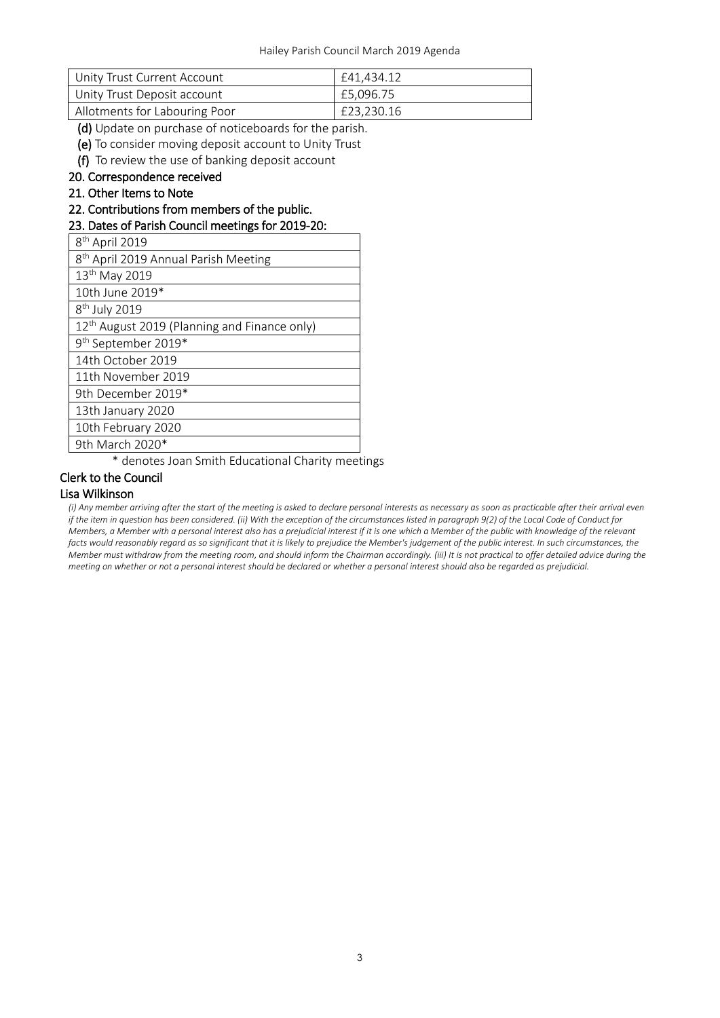| l Unity Trust Current Account | £41.434.12 |
|-------------------------------|------------|
| Unity Trust Deposit account   | £5.096.75  |
| Allotments for Labouring Poor | £23,230.16 |

(d) Update on purchase of noticeboards for the parish.

(e) To consider moving deposit account to Unity Trust

(f) To review the use of banking deposit account

#### 20. Correspondence received

21. Other Items to Note

22. Contributions from members of the public.

#### 23. Dates of Parish Council meetings for 2019-20:

| 8 <sup>th</sup> April 2019                               |
|----------------------------------------------------------|
| 8 <sup>th</sup> April 2019 Annual Parish Meeting         |
| 13 <sup>th</sup> May 2019                                |
| 10th June 2019*                                          |
| 8 <sup>th</sup> July 2019                                |
| 12 <sup>th</sup> August 2019 (Planning and Finance only) |
| 9 <sup>th</sup> September 2019*                          |
| 14th October 2019                                        |
| 11th November 2019                                       |
| 9th December 2019*                                       |
| 13th January 2020                                        |
| 10th February 2020                                       |
| 9th March 2020*                                          |

\* denotes Joan Smith Educational Charity meetings

#### Clerk to the Council Lisa Wilkinson

*(i) Any member arriving after the start of the meeting is asked to declare personal interests as necessary as soon as practicable after their arrival even if the item in question has been considered. (ii) With the exception of the circumstances listed in paragraph 9(2) of the Local Code of Conduct for Members, a Member with a personal interest also has a prejudicial interest if it is one which a Member of the public with knowledge of the relevant facts would reasonably regard as so significant that it is likely to prejudice the Member's judgement of the public interest. In such circumstances, the Member must withdraw from the meeting room, and should inform the Chairman accordingly. (iii) It is not practical to offer detailed advice during the meeting on whether or not a personal interest should be declared or whether a personal interest should also be regarded as prejudicial.*